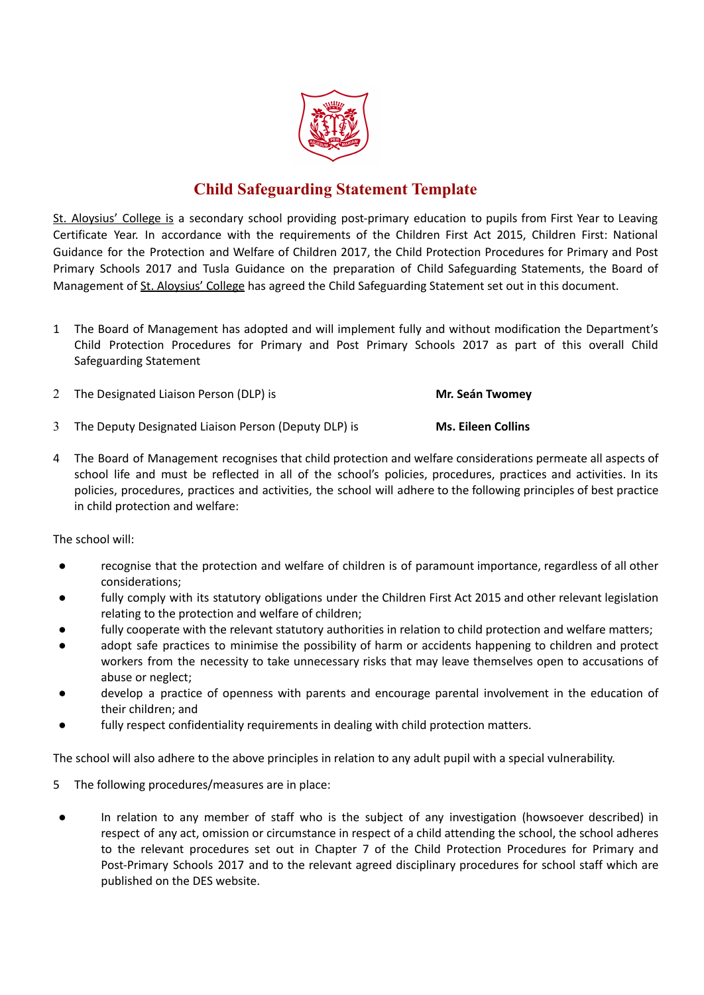

## **Child Safeguarding Statement Template**

St. Aloysius' College is a secondary school providing post-primary education to pupils from First Year to Leaving Certificate Year. In accordance with the requirements of the Children First Act 2015, Children First: National Guidance for the Protection and Welfare of Children 2017, the Child Protection Procedures for Primary and Post Primary Schools 2017 and Tusla Guidance on the preparation of Child Safeguarding Statements, the Board of Management of St. Aloysius' College has agreed the Child Safeguarding Statement set out in this document.

- 1 The Board of Management has adopted and will implement fully and without modification the Department's Child Protection Procedures for Primary and Post Primary Schools 2017 as part of this overall Child Safeguarding Statement
- 2 The Designated Liaison Person (DLP) is **Mr. Seán Twomey**
- 3 The Deputy Designated Liaison Person (Deputy DLP) is **Ms. Eileen Collins**
- 4 The Board of Management recognises that child protection and welfare considerations permeate all aspects of school life and must be reflected in all of the school's policies, procedures, practices and activities. In its policies, procedures, practices and activities, the school will adhere to the following principles of best practice in child protection and welfare:

The school will:

- recognise that the protection and welfare of children is of paramount importance, regardless of all other considerations;
- fully comply with its statutory obligations under the Children First Act 2015 and other relevant legislation relating to the protection and welfare of children;
- fully cooperate with the relevant statutory authorities in relation to child protection and welfare matters;
- adopt safe practices to minimise the possibility of harm or accidents happening to children and protect workers from the necessity to take unnecessary risks that may leave themselves open to accusations of abuse or neglect;
- develop a practice of openness with parents and encourage parental involvement in the education of their children; and
- fully respect confidentiality requirements in dealing with child protection matters.

The school will also adhere to the above principles in relation to any adult pupil with a special vulnerability.

- 5 The following procedures/measures are in place:
- In relation to any member of staff who is the subject of any investigation (howsoever described) in respect of any act, omission or circumstance in respect of a child attending the school, the school adheres to the relevant procedures set out in Chapter 7 of the Child Protection Procedures for Primary and Post-Primary Schools 2017 and to the relevant agreed disciplinary procedures for school staff which are published on the DES website.